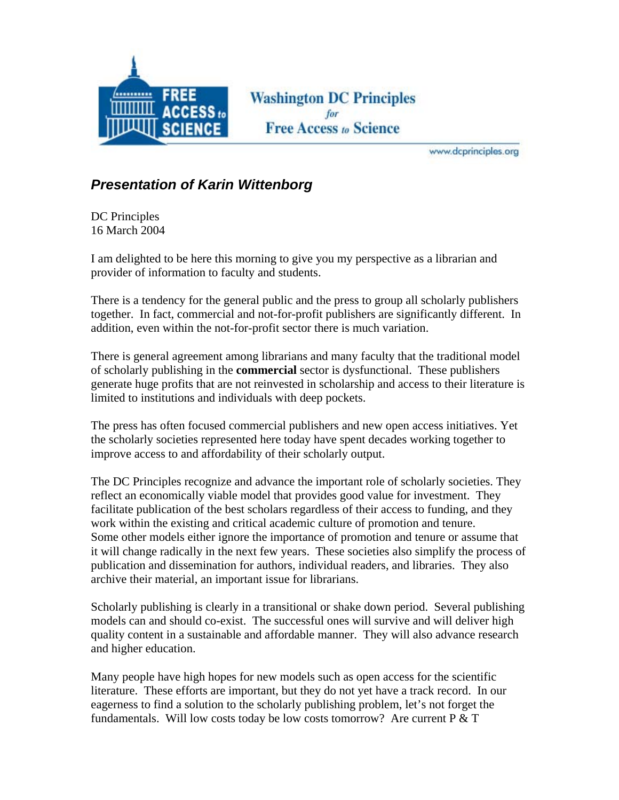

**Washington DC Principles Free Access to Science** 

www.dcprinciples.org

## *Presentation of Karin Wittenborg*

DC Principles 16 March 2004

I am delighted to be here this morning to give you my perspective as a librarian and provider of information to faculty and students.

There is a tendency for the general public and the press to group all scholarly publishers together. In fact, commercial and not-for-profit publishers are significantly different. In addition, even within the not-for-profit sector there is much variation.

There is general agreement among librarians and many faculty that the traditional model of scholarly publishing in the **commercial** sector is dysfunctional. These publishers generate huge profits that are not reinvested in scholarship and access to their literature is limited to institutions and individuals with deep pockets.

The press has often focused commercial publishers and new open access initiatives. Yet the scholarly societies represented here today have spent decades working together to improve access to and affordability of their scholarly output.

The DC Principles recognize and advance the important role of scholarly societies. They reflect an economically viable model that provides good value for investment. They facilitate publication of the best scholars regardless of their access to funding, and they work within the existing and critical academic culture of promotion and tenure. Some other models either ignore the importance of promotion and tenure or assume that it will change radically in the next few years. These societies also simplify the process of publication and dissemination for authors, individual readers, and libraries. They also archive their material, an important issue for librarians.

Scholarly publishing is clearly in a transitional or shake down period. Several publishing models can and should co-exist. The successful ones will survive and will deliver high quality content in a sustainable and affordable manner. They will also advance research and higher education.

Many people have high hopes for new models such as open access for the scientific literature. These efforts are important, but they do not yet have a track record. In our eagerness to find a solution to the scholarly publishing problem, let's not forget the fundamentals. Will low costs today be low costs tomorrow? Are current  $P \& T$